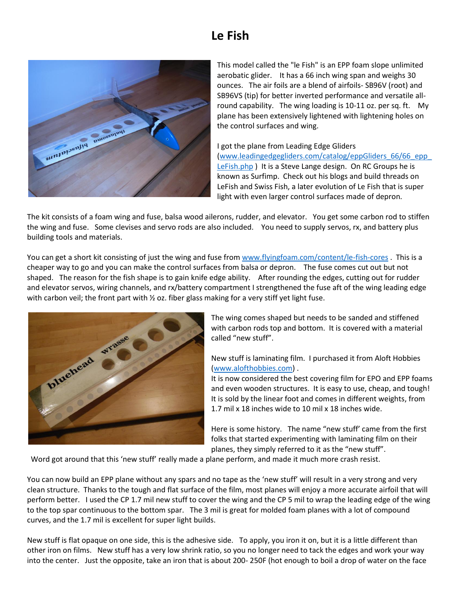## **Le Fish**



This model called the "le Fish" is an EPP foam slope unlimited aerobatic glider. It has a 66 inch wing span and weighs 30 ounces. The air foils are a blend of airfoils- SB96V (root) and SB96VS (tip) for better inverted performance and versatile allround capability. The wing loading is 10-11 oz. per sq. ft. My plane has been extensively lightened with lightening holes on the control surfaces and wing.

## I got the plane from Leading Edge Gliders

[\(www.leadingedgegliders.com/catalog/eppGliders\\_66/66\\_epp\\_](http://www.leadingedgegliders.com/catalog/eppGliders_66/66_epp_LeFish.php) [LeFish.php](http://www.leadingedgegliders.com/catalog/eppGliders_66/66_epp_LeFish.php) ) It is a Steve Lange design. On RC Groups he is known as Surfimp. Check out his blogs and build threads on LeFish and Swiss Fish, a later evolution of Le Fish that is super light with even larger control surfaces made of depron.

The kit consists of a foam wing and fuse, balsa wood ailerons, rudder, and elevator. You get some carbon rod to stiffen the wing and fuse. Some clevises and servo rods are also included. You need to supply servos, rx, and battery plus building tools and materials.

You can get a short kit consisting of just the wing and fuse fro[m www.flyingfoam.com/content/le-fish-cores](http://www.flyingfoam.com/content/le-fish-cores). This is a cheaper way to go and you can make the control surfaces from balsa or depron. The fuse comes cut out but not shaped. The reason for the fish shape is to gain knife edge ability. After rounding the edges, cutting out for rudder and elevator servos, wiring channels, and rx/battery compartment I strengthened the fuse aft of the wing leading edge with carbon veil; the front part with  $\frac{1}{2}$  oz. fiber glass making for a very stiff yet light fuse.



The wing comes shaped but needs to be sanded and stiffened with carbon rods top and bottom. It is covered with a material called "new stuff".

## New stuff is laminating film. I purchased it from Aloft Hobbies [\(www.alofthobbies.com\)](http://www.alofthobbies.com/) .

It is now considered the best covering film for EPO and EPP foams and even wooden structures. It is easy to use, cheap, and tough! It is sold by the linear foot and comes in different weights, from 1.7 mil x 18 inches wide to 10 mil x 18 inches wide.

Here is some history. The name "new stuff' came from the first folks that started experimenting with laminating film on their planes, they simply referred to it as the "new stuff".

Word got around that this 'new stuff' really made a plane perform, and made it much more crash resist.

You can now build an EPP plane without any spars and no tape as the 'new stuff' will result in a very strong and very clean structure. Thanks to the tough and flat surface of the film, most planes will enjoy a more accurate airfoil that will perform better. I used the CP 1.7 mil new stuff to cover the wing and the CP 5 mil to wrap the leading edge of the wing to the top spar continuous to the bottom spar. The 3 mil is great for molded foam planes with a lot of compound curves, and the 1.7 mil is excellent for super light builds.

New stuff is flat opaque on one side, this is the adhesive side. To apply, you iron it on, but it is a little different than other iron on films. New stuff has a very low shrink ratio, so you no longer need to tack the edges and work your way into the center. Just the opposite, take an iron that is about 200- 250F (hot enough to boil a drop of water on the face